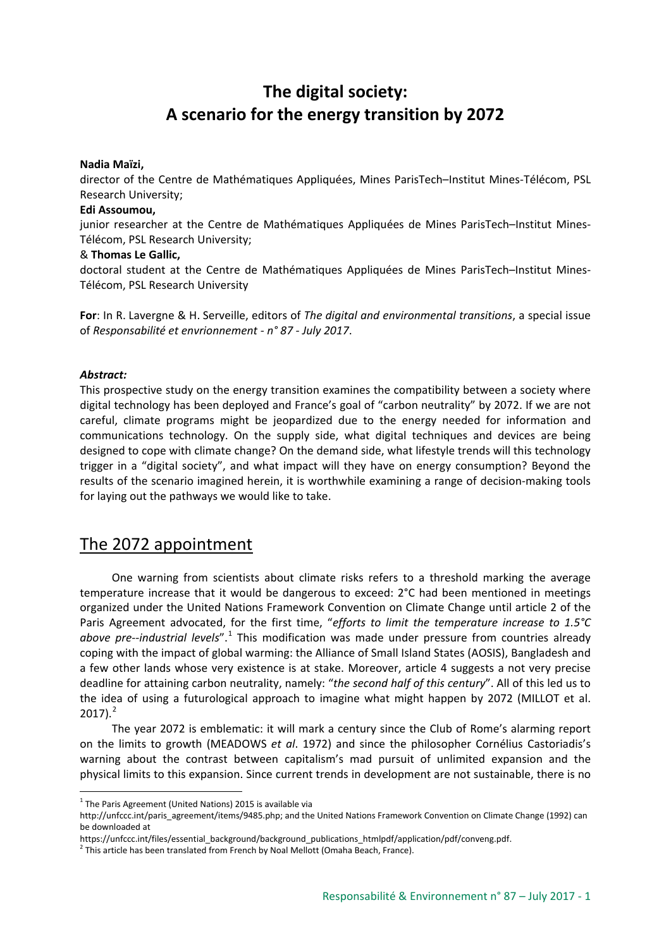# **The digital society: A scenario for the energy transition by 2072**

### **Nadia Maïzi,**

director of the Centre de Mathématiques Appliquées, Mines ParisTech–Institut Mines-Télécom, PSL Research University;

#### **Edi Assoumou,**

junior researcher at the Centre de Mathématiques Appliquées de Mines ParisTech–Institut Mines-Télécom, PSL Research University;

#### & **Thomas Le Gallic,**

doctoral student at the Centre de Mathématiques Appliquées de Mines ParisTech–Institut Mines-Télécom, PSL Research University

**For**: In R. Lavergne & H. Serveille, editors of *The digital and environmental transitions*, a special issue of *Responsabilité et envrionnement - n° 87 - July 2017*.

### *Abstract:*

This prospective study on the energy transition examines the compatibility between a society where digital technology has been deployed and France's goal of "carbon neutrality" by 2072. If we are not careful, climate programs might be jeopardized due to the energy needed for information and communications technology. On the supply side, what digital techniques and devices are being designed to cope with climate change? On the demand side, what lifestyle trends will this technology trigger in a "digital society", and what impact will they have on energy consumption? Beyond the results of the scenario imagined herein, it is worthwhile examining a range of decision-making tools for laying out the pathways we would like to take.

### The 2072 appointment

One warning from scientists about climate risks refers to a threshold marking the average temperature increase that it would be dangerous to exceed: 2°C had been mentioned in meetings organized under the United Nations Framework Convention on Climate Change until article 2 of the Paris Agreement advocated, for the first time, "*efforts to limit the temperature increase to 1.5°C above pre--industrial levels*".[1](#page-0-0) This modification was made under pressure from countries already coping with the impact of global warming: the Alliance of Small Island States (AOSIS), Bangladesh and a few other lands whose very existence is at stake. Moreover, article 4 suggests a not very precise deadline for attaining carbon neutrality, namely: "*the second half of this century*". All of this led us to the idea of using a futurological approach to imagine what might happen by 2072 (MILLOT et al.  $2017$  $2017$ ). $^{2}$ 

The year 2072 is emblematic: it will mark a century since the Club of Rome's alarming report on the limits to growth (MEADOWS *et al*. 1972) and since the philosopher Cornélius Castoriadis's warning about the contrast between capitalism's mad pursuit of unlimited expansion and the physical limits to this expansion. Since current trends in development are not sustainable, there is no

<span id="page-0-0"></span> $1$  The Paris Agreement (United Nations) 2015 is available via

http://unfccc.int/paris\_agreement/items/9485.php; and the United Nations Framework Convention on Climate Change (1992) can be downloaded at

https://unfccc.int/files/essential\_background/background\_publications\_htmlpdf/application/pdf/conveng.pdf.

<span id="page-0-1"></span> $<sup>2</sup>$  This article has been translated from French by Noal Mellott (Omaha Beach, France).</sup>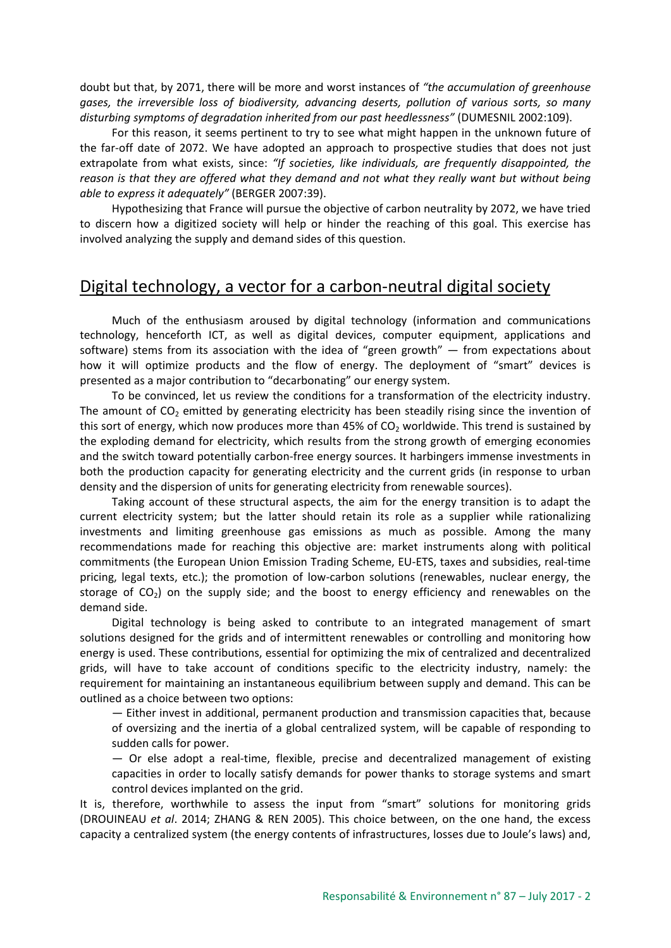doubt but that, by 2071, there will be more and worst instances of *"the accumulation of greenhouse gases, the irreversible loss of biodiversity, advancing deserts, pollution of various sorts, so many disturbing symptoms of degradation inherited from our past heedlessness"* (DUMESNIL 2002:109).

For this reason, it seems pertinent to try to see what might happen in the unknown future of the far-off date of 2072. We have adopted an approach to prospective studies that does not just extrapolate from what exists, since: *"If societies, like individuals, are frequently disappointed, the reason is that they are offered what they demand and not what they really want but without being able to express it adequately"* (BERGER 2007:39).

Hypothesizing that France will pursue the objective of carbon neutrality by 2072, we have tried to discern how a digitized society will help or hinder the reaching of this goal. This exercise has involved analyzing the supply and demand sides of this question.

# Digital technology, a vector for a carbon-neutral digital society

Much of the enthusiasm aroused by digital technology (information and communications technology, henceforth ICT, as well as digital devices, computer equipment, applications and software) stems from its association with the idea of "green growth" — from expectations about how it will optimize products and the flow of energy. The deployment of "smart" devices is presented as a major contribution to "decarbonating" our energy system.

To be convinced, let us review the conditions for a transformation of the electricity industry. The amount of  $CO<sub>2</sub>$  emitted by generating electricity has been steadily rising since the invention of this sort of energy, which now produces more than 45% of  $CO<sub>2</sub>$  worldwide. This trend is sustained by the exploding demand for electricity, which results from the strong growth of emerging economies and the switch toward potentially carbon-free energy sources. It harbingers immense investments in both the production capacity for generating electricity and the current grids (in response to urban density and the dispersion of units for generating electricity from renewable sources).

Taking account of these structural aspects, the aim for the energy transition is to adapt the current electricity system; but the latter should retain its role as a supplier while rationalizing investments and limiting greenhouse gas emissions as much as possible. Among the many recommendations made for reaching this objective are: market instruments along with political commitments (the European Union Emission Trading Scheme, EU-ETS, taxes and subsidies, real-time pricing, legal texts, etc.); the promotion of low-carbon solutions (renewables, nuclear energy, the storage of  $CO<sub>2</sub>$ ) on the supply side; and the boost to energy efficiency and renewables on the demand side.

Digital technology is being asked to contribute to an integrated management of smart solutions designed for the grids and of intermittent renewables or controlling and monitoring how energy is used. These contributions, essential for optimizing the mix of centralized and decentralized grids, will have to take account of conditions specific to the electricity industry, namely: the requirement for maintaining an instantaneous equilibrium between supply and demand. This can be outlined as a choice between two options:

— Either invest in additional, permanent production and transmission capacities that, because of oversizing and the inertia of a global centralized system, will be capable of responding to sudden calls for power.

— Or else adopt a real-time, flexible, precise and decentralized management of existing capacities in order to locally satisfy demands for power thanks to storage systems and smart control devices implanted on the grid.

It is, therefore, worthwhile to assess the input from "smart" solutions for monitoring grids (DROUINEAU *et al*. 2014; ZHANG & REN 2005). This choice between, on the one hand, the excess capacity a centralized system (the energy contents of infrastructures, losses due to Joule's laws) and,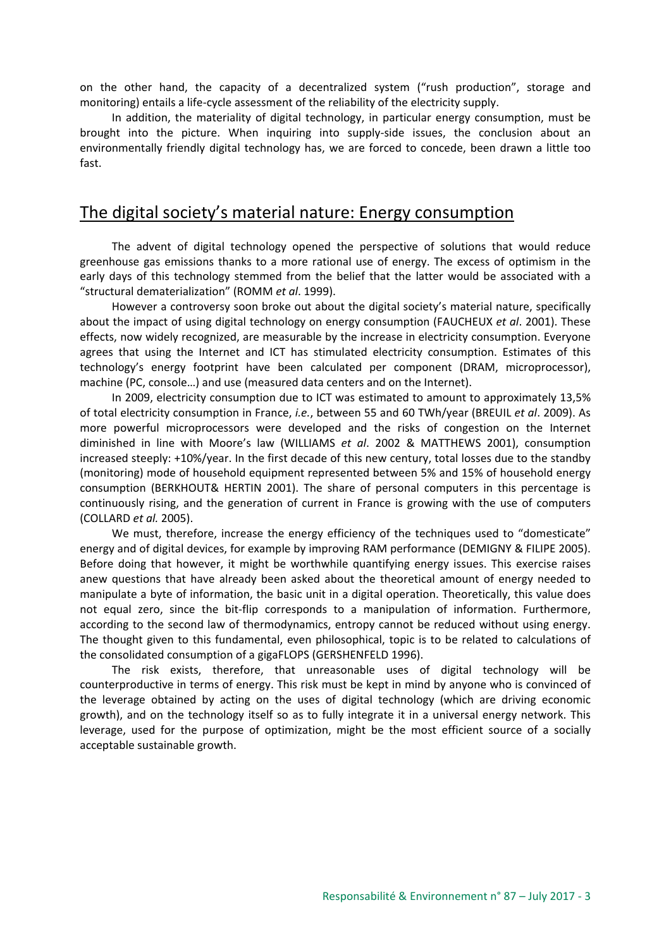on the other hand, the capacity of a decentralized system ("rush production", storage and monitoring) entails a life-cycle assessment of the reliability of the electricity supply.

In addition, the materiality of digital technology, in particular energy consumption, must be brought into the picture. When inquiring into supply-side issues, the conclusion about an environmentally friendly digital technology has, we are forced to concede, been drawn a little too fast.

### The digital society's material nature: Energy consumption

The advent of digital technology opened the perspective of solutions that would reduce greenhouse gas emissions thanks to a more rational use of energy. The excess of optimism in the early days of this technology stemmed from the belief that the latter would be associated with a "structural dematerialization" (ROMM *et al*. 1999).

However a controversy soon broke out about the digital society's material nature, specifically about the impact of using digital technology on energy consumption (FAUCHEUX *et al*. 2001). These effects, now widely recognized, are measurable by the increase in electricity consumption. Everyone agrees that using the Internet and ICT has stimulated electricity consumption. Estimates of this technology's energy footprint have been calculated per component (DRAM, microprocessor), machine (PC, console…) and use (measured data centers and on the Internet).

In 2009, electricity consumption due to ICT was estimated to amount to approximately 13,5% of total electricity consumption in France, *i.e.*, between 55 and 60 TWh/year (BREUIL *et al*. 2009). As more powerful microprocessors were developed and the risks of congestion on the Internet diminished in line with Moore's law (WILLIAMS *et al*. 2002 & MATTHEWS 2001), consumption increased steeply: +10%/year. In the first decade of this new century, total losses due to the standby (monitoring) mode of household equipment represented between 5% and 15% of household energy consumption (BERKHOUT& HERTIN 2001). The share of personal computers in this percentage is continuously rising, and the generation of current in France is growing with the use of computers (COLLARD *et al.* 2005).

We must, therefore, increase the energy efficiency of the techniques used to "domesticate" energy and of digital devices, for example by improving RAM performance (DEMIGNY & FILIPE 2005). Before doing that however, it might be worthwhile quantifying energy issues. This exercise raises anew questions that have already been asked about the theoretical amount of energy needed to manipulate a byte of information, the basic unit in a digital operation. Theoretically, this value does not equal zero, since the bit-flip corresponds to a manipulation of information. Furthermore, according to the second law of thermodynamics, entropy cannot be reduced without using energy. The thought given to this fundamental, even philosophical, topic is to be related to calculations of the consolidated consumption of a gigaFLOPS (GERSHENFELD 1996).

The risk exists, therefore, that unreasonable uses of digital technology will be counterproductive in terms of energy. This risk must be kept in mind by anyone who is convinced of the leverage obtained by acting on the uses of digital technology (which are driving economic growth), and on the technology itself so as to fully integrate it in a universal energy network. This leverage, used for the purpose of optimization, might be the most efficient source of a socially acceptable sustainable growth.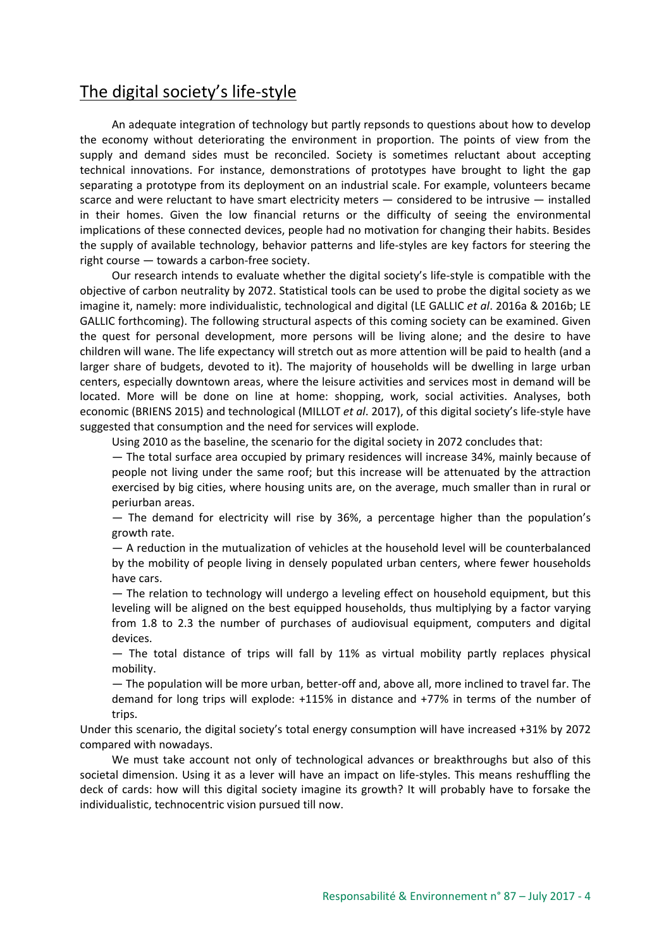# The digital society's life-style

An adequate integration of technology but partly repsonds to questions about how to develop the economy without deteriorating the environment in proportion. The points of view from the supply and demand sides must be reconciled. Society is sometimes reluctant about accepting technical innovations. For instance, demonstrations of prototypes have brought to light the gap separating a prototype from its deployment on an industrial scale. For example, volunteers became scarce and were reluctant to have smart electricity meters — considered to be intrusive — installed in their homes. Given the low financial returns or the difficulty of seeing the environmental implications of these connected devices, people had no motivation for changing their habits. Besides the supply of available technology, behavior patterns and life-styles are key factors for steering the right course — towards a carbon-free society.

Our research intends to evaluate whether the digital society's life-style is compatible with the objective of carbon neutrality by 2072. Statistical tools can be used to probe the digital society as we imagine it, namely: more individualistic, technological and digital (LE GALLIC *et al*. 2016a & 2016b; LE GALLIC forthcoming). The following structural aspects of this coming society can be examined. Given the quest for personal development, more persons will be living alone; and the desire to have children will wane. The life expectancy will stretch out as more attention will be paid to health (and a larger share of budgets, devoted to it). The majority of households will be dwelling in large urban centers, especially downtown areas, where the leisure activities and services most in demand will be located. More will be done on line at home: shopping, work, social activities. Analyses, both economic (BRIENS 2015) and technological (MILLOT *et al*. 2017), of this digital society's life-style have suggested that consumption and the need for services will explode.

Using 2010 as the baseline, the scenario for the digital society in 2072 concludes that:

— The total surface area occupied by primary residences will increase 34%, mainly because of people not living under the same roof; but this increase will be attenuated by the attraction exercised by big cities, where housing units are, on the average, much smaller than in rural or periurban areas.

— The demand for electricity will rise by 36%, a percentage higher than the population's growth rate.

— A reduction in the mutualization of vehicles at the household level will be counterbalanced by the mobility of people living in densely populated urban centers, where fewer households have cars.

— The relation to technology will undergo a leveling effect on household equipment, but this leveling will be aligned on the best equipped households, thus multiplying by a factor varying from 1.8 to 2.3 the number of purchases of audiovisual equipment, computers and digital devices.

— The total distance of trips will fall by 11% as virtual mobility partly replaces physical mobility.

— The population will be more urban, better-off and, above all, more inclined to travel far. The demand for long trips will explode: +115% in distance and +77% in terms of the number of trips.

Under this scenario, the digital society's total energy consumption will have increased +31% by 2072 compared with nowadays.

We must take account not only of technological advances or breakthroughs but also of this societal dimension. Using it as a lever will have an impact on life-styles. This means reshuffling the deck of cards: how will this digital society imagine its growth? It will probably have to forsake the individualistic, technocentric vision pursued till now.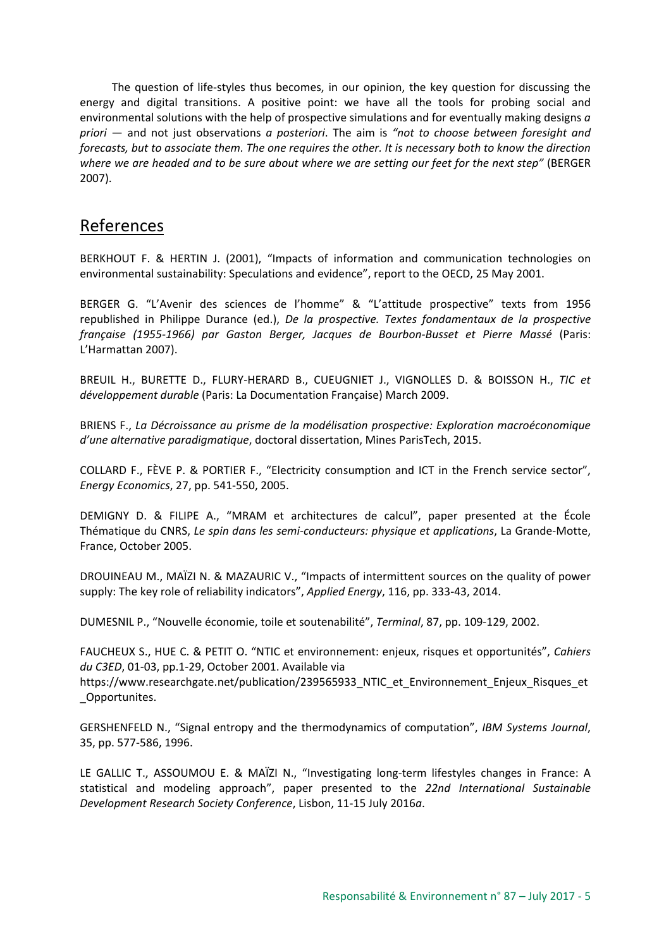The question of life-styles thus becomes, in our opinion, the key question for discussing the energy and digital transitions. A positive point: we have all the tools for probing social and environmental solutions with the help of prospective simulations and for eventually making designs *a priori* — and not just observations *a posteriori*. The aim is *"not to choose between foresight and forecasts, but to associate them. The one requires the other. It is necessary both to know the direction where we are headed and to be sure about where we are setting our feet for the next step"* (BERGER 2007).

# References

BERKHOUT F. & HERTIN J. (2001), "Impacts of information and communication technologies on environmental sustainability: Speculations and evidence", report to the OECD, 25 May 2001.

BERGER G. "L'Avenir des sciences de l'homme" & "L'attitude prospective" texts from 1956 republished in Philippe Durance (ed.), *De la prospective. Textes fondamentaux de la prospective française (1955-1966) par Gaston Berger, Jacques de Bourbon-Busset et Pierre Massé* (Paris: L'Harmattan 2007).

BREUIL H., BURETTE D., FLURY-HERARD B., CUEUGNIET J., VIGNOLLES D. & BOISSON H., *TIC et développement durable* (Paris: La Documentation Française) March 2009.

BRIENS F., *La Décroissance au prisme de la modélisation prospective: Exploration macroéconomique d'une alternative paradigmatique*, doctoral dissertation, Mines ParisTech, 2015.

COLLARD F., FÈVE P. & PORTIER F., "Electricity consumption and ICT in the French service sector", *Energy Economics*, 27, pp. 541-550, 2005.

DEMIGNY D. & FILIPE A., "MRAM et architectures de calcul", paper presented at the École Thématique du CNRS, *Le spin dans les semi-conducteurs: physique et applications*, La Grande-Motte, France, October 2005.

DROUINEAU M., MAÏZI N. & MAZAURIC V., "Impacts of intermittent sources on the quality of power supply: The key role of reliability indicators", *Applied Energy*, 116, pp. 333-43, 2014.

DUMESNIL P., "Nouvelle économie, toile et soutenabilité", *Terminal*, 87, pp. 109-129, 2002.

FAUCHEUX S., HUE C. & PETIT O. "NTIC et environnement: enjeux, risques et opportunités", *Cahiers du C3ED*, 01-03, pp.1-29, October 2001. Available via

https://www.researchgate.net/publication/239565933\_NTIC\_et\_Environnement\_Enjeux\_Risques\_et \_Opportunites.

GERSHENFELD N., "Signal entropy and the thermodynamics of computation", *IBM Systems Journal*, 35, pp. 577-586, 1996.

LE GALLIC T., ASSOUMOU E. & MAÏZI N., "Investigating long-term lifestyles changes in France: A statistical and modeling approach", paper presented to the *22nd International Sustainable Development Research Society Conference*, Lisbon, 11-15 July 2016*a*.